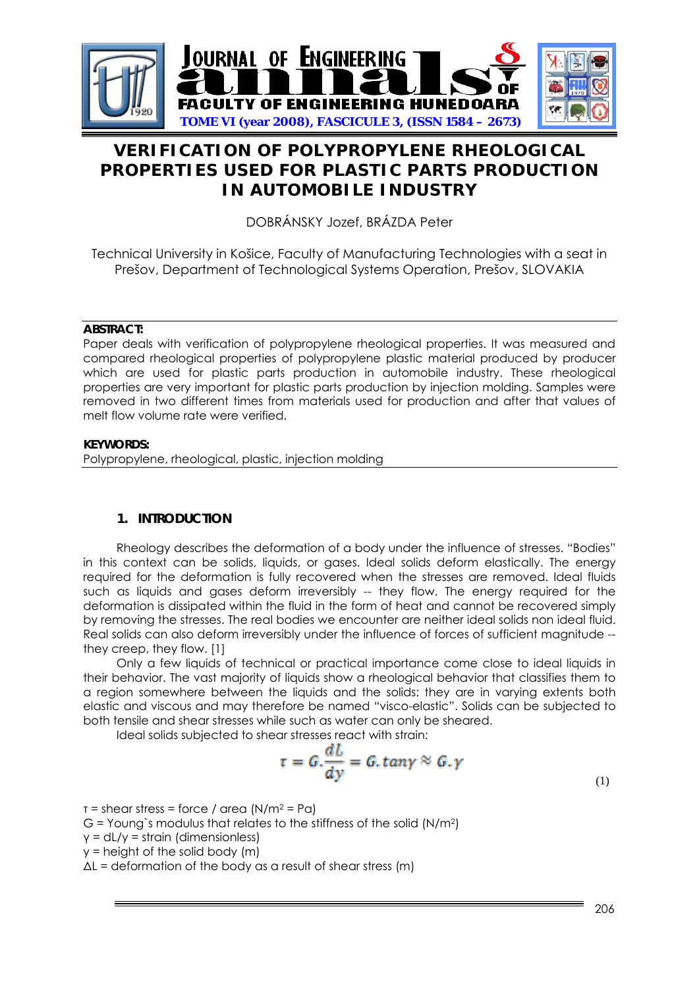

# **VERIFICATION OF POLYPROPYLENE RHEOLOGICAL PROPERTIES USED FOR PLASTIC PARTS PRODUCTION IN AUTOMOBILE INDUSTRY**

DOBRÁNSKY Jozef, BRÁZDA Peter

Technical University in Košice, Faculty of Manufacturing Technologies with a seat in Prešov, Department of Technological Systems Operation, Prešov, SLOVAKIA

### **ABSTRACT:**

Paper deals with verification of polypropylene rheological properties. It was measured and compared rheological properties of polypropylene plastic material produced by producer which are used for plastic parts production in automobile industry. These rheological properties are very important for plastic parts production by injection molding. Samples were removed in two different times from materials used for production and after that values of melt flow volume rate were verified.

# **KEYWORDS:**

Polypropylene, rheological, plastic, injection molding

# **1. INTRODUCTION**

 Rheology describes the deformation of a body under the influence of stresses. "Bodies" in this context can be solids, liquids, or gases. Ideal solids deform elastically. The energy required for the deformation is fully recovered when the stresses are removed. Ideal fluids such as liquids and gases deform irreversibly -- they flow. The energy required for the deformation is dissipated within the fluid in the form of heat and cannot be recovered simply by removing the stresses. The real bodies we encounter are neither ideal solids non ideal fluid. Real solids can also deform irreversibly under the influence of forces of sufficient magnitude - they creep, they flow. [1]

Only a few liquids of technical or practical importance come close to ideal liquids in their behavior. The vast majority of liquids show a rheological behavior that classifies them to a region somewhere between the liquids and the solids: they are in varying extents both elastic and viscous and may therefore be named "visco-elastic". Solids can be subjected to both tensile and shear stresses while such as water can only be sheared.

Ideal solids subjected to shear stresses react with strain:

$$
\tau = G.\frac{dL}{dy} = G.\,tan\gamma \approx G.\,\gamma \tag{1}
$$

 $\tau$  = shear stress = force / area (N/m<sup>2</sup> = Pa)  $G =$  Young's modulus that relates to the stiffness of the solid  $(N/m<sup>2</sup>)$ γ = dL/y = strain (dimensionless)  $y =$  height of the solid body  $(m)$  $\Delta L$  = deformation of the body as a result of shear stress (m)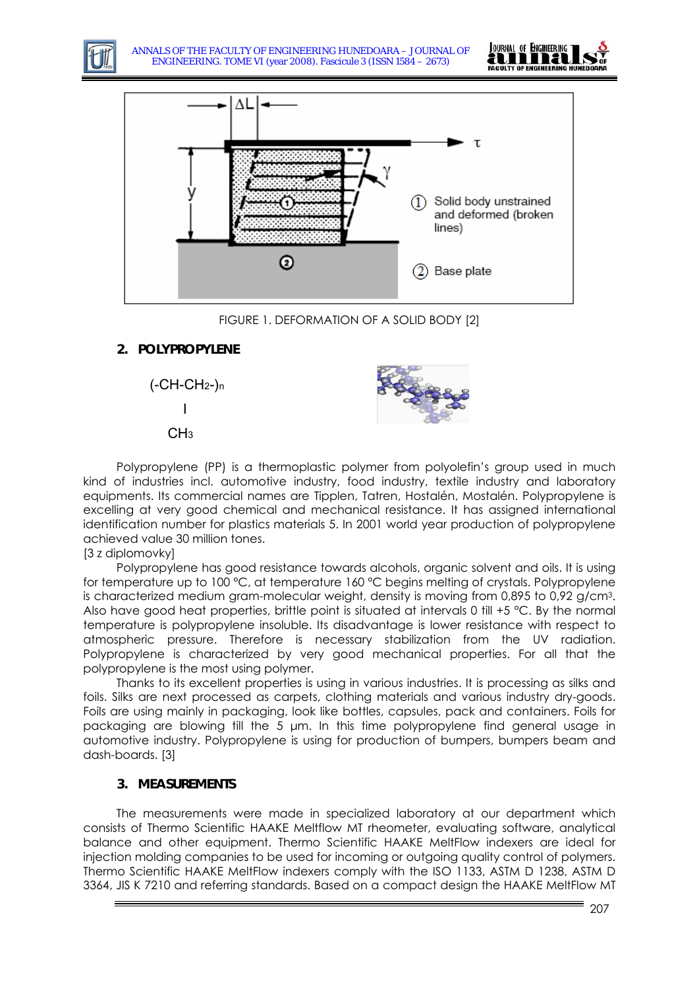





FIGURE 1. DEFORMATION OF A SOLID BODY [2]

# **2. POLYPROPYLENE**

 $(-CH-CH<sub>2</sub>-)n$ 

$$
\overline{a}
$$

 $CH<sub>3</sub>$ 



Polypropylene (PP) is a thermoplastic polymer from polyolefin's group used in much kind of industries incl. automotive industry, food industry, textile industry and laboratory equipments. Its commercial names are Tipplen, Tatren, Hostalén, Mostalén. Polypropylene is excelling at very good chemical and mechanical resistance. It has assigned international identification number for plastics materials 5. In 2001 world year production of polypropylene achieved value 30 million tones.

# [3 z diplomovky]

Polypropylene has good resistance towards alcohols, organic solvent and oils. It is using for temperature up to 100 °C, at temperature 160 °C begins melting of crystals. Polypropylene is characterized medium gram-molecular weight, density is moving from 0,895 to 0,92 g/cm3. Also have good heat properties, brittle point is situated at intervals 0 till  $+5$  °C. By the normal temperature is polypropylene insoluble. Its disadvantage is lower resistance with respect to atmospheric pressure. Therefore is necessary stabilization from the UV radiation. Polypropylene is characterized by very good mechanical properties. For all that the polypropylene is the most using polymer.

Thanks to its excellent properties is using in various industries. It is processing as silks and foils. Silks are next processed as carpets, clothing materials and various industry dry-goods. Foils are using mainly in packaging, look like bottles, capsules, pack and containers. Foils for packaging are blowing till the 5 μm. In this time polypropylene find general usage in automotive industry. Polypropylene is using for production of bumpers, bumpers beam and dash-boards. [3]

# **3. MEASUREMENTS**

The measurements were made in specialized laboratory at our department which consists of Thermo Scientific HAAKE Meltflow MT rheometer, evaluating software, analytical balance and other equipment. Thermo Scientific HAAKE MeltFlow indexers are ideal for injection molding companies to be used for incoming or outgoing quality control of polymers. Thermo Scientific HAAKE MeltFlow indexers comply with the ISO 1133, ASTM D 1238, ASTM D 3364, JIS K 7210 and referring standards. Based on a compact design the HAAKE MeltFlow MT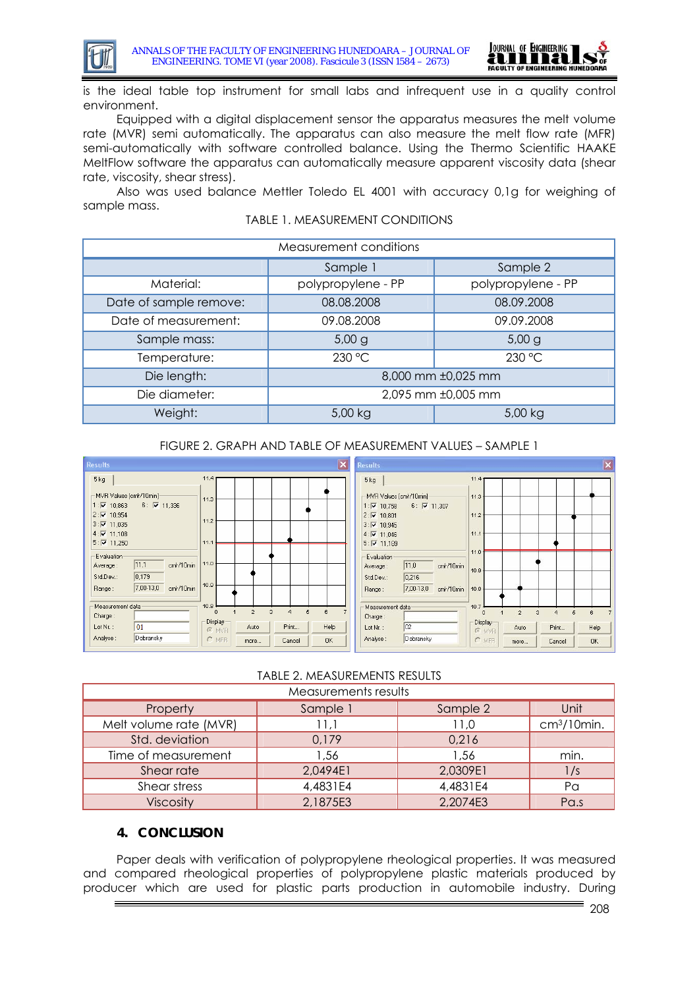



is the ideal table top instrument for small labs and infrequent use in a quality control environment.

Equipped with a digital displacement sensor the apparatus measures the melt volume rate (MVR) semi automatically. The apparatus can also measure the melt flow rate (MFR) semi-automatically with software controlled balance. Using the Thermo Scientific HAAKE MeltFlow software the apparatus can automatically measure apparent viscosity data (shear rate, viscosity, shear stress).

Also was used balance Mettler Toledo EL 4001 with accuracy 0,1g for weighing of sample mass.

| TABLE 1. MEASUREMENT CONDITIONS |  |
|---------------------------------|--|
|---------------------------------|--|

| Measurement conditions |                    |                    |  |
|------------------------|--------------------|--------------------|--|
|                        | Sample 1           | Sample 2           |  |
| Material:              | polypropylene - PP | polypropylene - PP |  |
| Date of sample remove: | 08.08.2008         | 08.09.2008         |  |
| Date of measurement:   | 09.08.2008         | 09.09.2008         |  |
| Sample mass:           | 5,00 g             | 5,00 g             |  |
| Temperature:           | 230 °C             | 230 °C             |  |
| Die length:            | 8,000 mm ±0,025 mm |                    |  |
| Die diameter:          | 2,095 mm ±0,005 mm |                    |  |
| Weight:                | 5,00 kg            | 5,00 kg            |  |

### FIGURE 2. GRAPH AND TABLE OF MEASUREMENT VALUES – SAMPLE 1



# TABLE 2. MEASUREMENTS RESULTS

| Measurements results   |          |          |                         |  |
|------------------------|----------|----------|-------------------------|--|
| Property               | Sample 1 | Sample 2 | Unit                    |  |
| Melt volume rate (MVR) | 11,1     | 11,0     | cm <sup>3</sup> /10min. |  |
| Std. deviation         | 0,179    | 0,216    |                         |  |
| Time of measurement    | 1,56     | 1,56     | min.                    |  |
| Shear rate             | 2,0494E1 | 2,0309E1 | 1/s                     |  |
| Shear stress           | 4,4831E4 | 4,4831E4 | P <sub>G</sub>          |  |
| <b>Viscosity</b>       | 2,1875E3 | 2,2074E3 | Pa.s                    |  |

# **4. CONCLUSION**

 Paper deals with verification of polypropylene rheological properties. It was measured and compared rheological properties of polypropylene plastic materials produced by producer which are used for plastic parts production in automobile industry. During